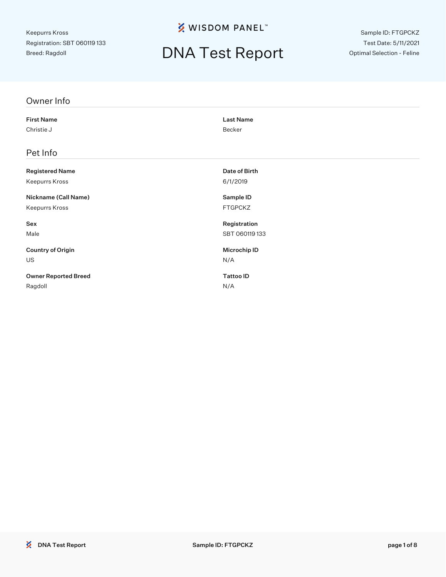**※ WISDOM PANEL**™

## DNA Test Report

Sample ID: FTGPCKZ Test Date: 5/11/2021 Optimal Selection - Feline

| Owner Info                  |                     |
|-----------------------------|---------------------|
| <b>First Name</b>           | <b>Last Name</b>    |
| Christie J                  | Becker              |
| Pet Info                    |                     |
| <b>Registered Name</b>      | Date of Birth       |
| Keepurrs Kross              | 6/1/2019            |
| Nickname (Call Name)        | Sample ID           |
| Keepurrs Kross              | <b>FTGPCKZ</b>      |
| Sex                         | Registration        |
| Male                        | SBT 060119133       |
| <b>Country of Origin</b>    | <b>Microchip ID</b> |
| US                          | N/A                 |
| <b>Owner Reported Breed</b> | <b>Tattoo ID</b>    |
| Ragdoll                     | N/A                 |
|                             |                     |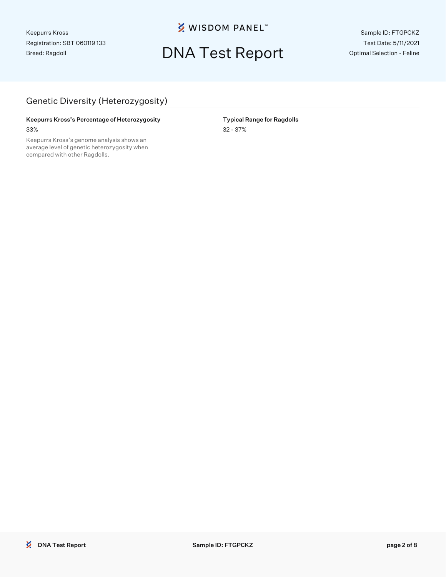**※ WISDOM PANEL**™

## DNA Test Report

Sample ID: FTGPCKZ Test Date: 5/11/2021 Optimal Selection - Feline

#### Genetic Diversity (Heterozygosity)

#### Keepurrs Kross's Percentage of Heterozygosity **Typical Range for Ragdolls** 33% 32 - 37%

Keepurrs Kross's genome analysis shows an average level of genetic heterozygosity when compared with other Ragdolls.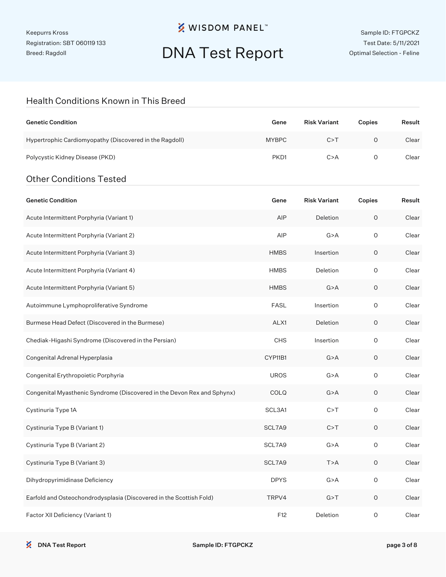### **※ WISDOM PANEL**™

# DNA Test Report

#### Health Conditions Known in This Breed

| <b>Genetic Condition</b>                                | Gene             | <b>Risk Variant</b> | Copies | Result |
|---------------------------------------------------------|------------------|---------------------|--------|--------|
| Hypertrophic Cardiomyopathy (Discovered in the Ragdoll) | <b>MYBPC</b>     | C > T               | Ο      | Clear  |
| Polycystic Kidney Disease (PKD)                         | PKD <sub>1</sub> | C > A               | O      | Clear  |
| <b>Other Conditions Tested</b>                          |                  |                     |        |        |

| <b>Genetic Condition</b>                                                | Gene        | <b>Risk Variant</b> | Copies      | Result |
|-------------------------------------------------------------------------|-------------|---------------------|-------------|--------|
| Acute Intermittent Porphyria (Variant 1)                                | AIP         | Deletion            | $\circ$     | Clear  |
| Acute Intermittent Porphyria (Variant 2)                                | AIP         | G > A               | O           | Clear  |
| Acute Intermittent Porphyria (Variant 3)                                | <b>HMBS</b> | Insertion           | O           | Clear  |
| Acute Intermittent Porphyria (Variant 4)                                | <b>HMBS</b> | Deletion            | O           | Clear  |
| Acute Intermittent Porphyria (Variant 5)                                | <b>HMBS</b> | G > A               | $\mathsf O$ | Clear  |
| Autoimmune Lymphoproliferative Syndrome                                 | <b>FASL</b> | Insertion           | O           | Clear  |
| Burmese Head Defect (Discovered in the Burmese)                         | ALX1        | Deletion            | 0           | Clear  |
| Chediak-Higashi Syndrome (Discovered in the Persian)                    | CHS         | Insertion           | O           | Clear  |
| Congenital Adrenal Hyperplasia                                          | CYP11B1     | G > A               | 0           | Clear  |
| Congenital Erythropoietic Porphyria                                     | <b>UROS</b> | G > A               | O           | Clear  |
| Congenital Myasthenic Syndrome (Discovered in the Devon Rex and Sphynx) | COLQ        | G > A               | O           | Clear  |
| Cystinuria Type 1A                                                      | SCL3A1      | C > T               | 0           | Clear  |
| Cystinuria Type B (Variant 1)                                           | SCL7A9      | C > T               | 0           | Clear  |
| Cystinuria Type B (Variant 2)                                           | SCL7A9      | G > A               | O           | Clear  |
| Cystinuria Type B (Variant 3)                                           | SCL7A9      | T>A                 | 0           | Clear  |
| Dihydropyrimidinase Deficiency                                          | <b>DPYS</b> | G > A               | O           | Clear  |
| Earfold and Osteochondrodysplasia (Discovered in the Scottish Fold)     | TRPV4       | G > T               | O           | Clear  |
| Factor XII Deficiency (Variant 1)                                       | F12         | Deletion            | $\circ$     | Clear  |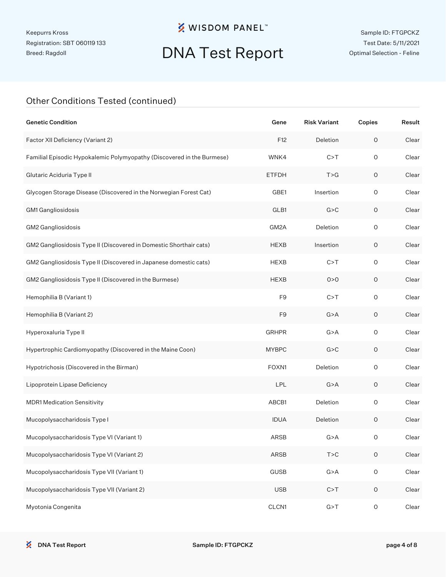### **※ WISDOM PANEL**™

# DNA Test Report

#### Other Conditions Tested (continued)

| <b>Genetic Condition</b>                                               | Gene           | <b>Risk Variant</b> | Copies              | Result |
|------------------------------------------------------------------------|----------------|---------------------|---------------------|--------|
| Factor XII Deficiency (Variant 2)                                      | F12            | Deletion            | $\mathsf O$         | Clear  |
| Familial Episodic Hypokalemic Polymyopathy (Discovered in the Burmese) | WNK4           | C > T               | $\mathsf O$         | Clear  |
| Glutaric Aciduria Type II                                              | <b>ETFDH</b>   | T > G               | O                   | Clear  |
| Glycogen Storage Disease (Discovered in the Norwegian Forest Cat)      | GBE1           | Insertion           | $\mathsf O$         | Clear  |
| GM1 Gangliosidosis                                                     | GLB1           | G > C               | O                   | Clear  |
| GM2 Gangliosidosis                                                     | GM2A           | Deletion            | $\mathsf O$         | Clear  |
| GM2 Gangliosidosis Type II (Discovered in Domestic Shorthair cats)     | <b>HEXB</b>    | Insertion           | O                   | Clear  |
| GM2 Gangliosidosis Type II (Discovered in Japanese domestic cats)      | <b>HEXB</b>    | C > T               | $\mathsf{O}\xspace$ | Clear  |
| GM2 Gangliosidosis Type II (Discovered in the Burmese)                 | <b>HEXB</b>    | 0 > 0               | O                   | Clear  |
| Hemophilia B (Variant 1)                                               | F <sub>9</sub> | C > T               | $\mathsf{O}\xspace$ | Clear  |
| Hemophilia B (Variant 2)                                               | F9             | G > A               | O                   | Clear  |
| Hyperoxaluria Type II                                                  | <b>GRHPR</b>   | G > A               | $\mathsf O$         | Clear  |
| Hypertrophic Cardiomyopathy (Discovered in the Maine Coon)             | <b>MYBPC</b>   | G > C               | $\mathsf O$         | Clear  |
| Hypotrichosis (Discovered in the Birman)                               | FOXN1          | Deletion            | $\mathsf O$         | Clear  |
| Lipoprotein Lipase Deficiency                                          | LPL            | G > A               | 0                   | Clear  |
| <b>MDR1 Medication Sensitivity</b>                                     | ABCB1          | Deletion            | $\mathsf O$         | Clear  |
| Mucopolysaccharidosis Type I                                           | <b>IDUA</b>    | Deletion            | 0                   | Clear  |
| Mucopolysaccharidosis Type VI (Variant 1)                              | ARSB           | G > A               | 0                   | Clear  |
| Mucopolysaccharidosis Type VI (Variant 2)                              | ARSB           | T > C               | $\mathsf O$         | Clear  |
| Mucopolysaccharidosis Type VII (Variant 1)                             | <b>GUSB</b>    | G > A               | $\mathsf O$         | Clear  |
| Mucopolysaccharidosis Type VII (Variant 2)                             | <b>USB</b>     | C > T               | $\mathsf O$         | Clear  |
| Myotonia Congenita                                                     | CLCN1          | G > T               | $\mathsf O$         | Clear  |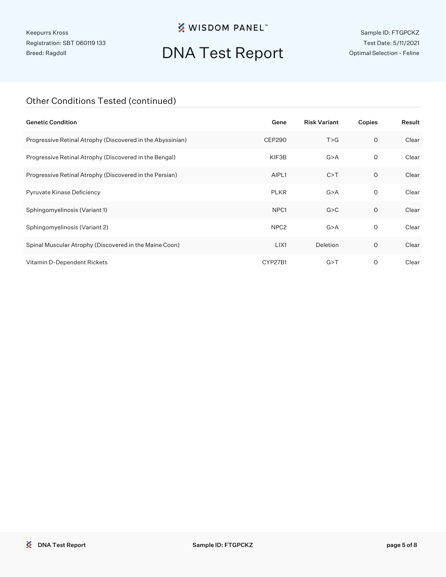### **※ WISDOM PANEL**™

# DNA Test Report

Sample ID: FTGPCKZ Test Date: 5/11/2021 Optimal Selection - Feline

#### Other Conditions Tested (continued)

| <b>Genetic Condition</b>                                   | Gene             | <b>Risk Variant</b> | Copies       | Result |
|------------------------------------------------------------|------------------|---------------------|--------------|--------|
| Progressive Retinal Atrophy (Discovered in the Abyssinian) | <b>CEP290</b>    | T > G               | $\circ$      | Clear  |
| Progressive Retinal Atrophy (Discovered in the Bengal)     | KIF3B            | G > A               | $\circ$      | Clear  |
| Progressive Retinal Atrophy (Discovered in the Persian)    | AIPL1            | C > T               | 0            | Clear  |
| Pyruvate Kinase Deficiency                                 | <b>PLKR</b>      | G > A               | 0            | Clear  |
| Sphingomyelinosis (Variant 1)                              | NPC <sub>1</sub> | G > C               | $\mathsf{O}$ | Clear  |
| Sphingomyelinosis (Variant 2)                              | NPC <sub>2</sub> | G > A               | $\circ$      | Clear  |
| Spinal Muscular Atrophy (Discovered in the Maine Coon)     | LIX1             | Deletion            | $\circ$      | Clear  |
| Vitamin D-Dependent Rickets                                | CYP27B1          | G > T               | O            | Clear  |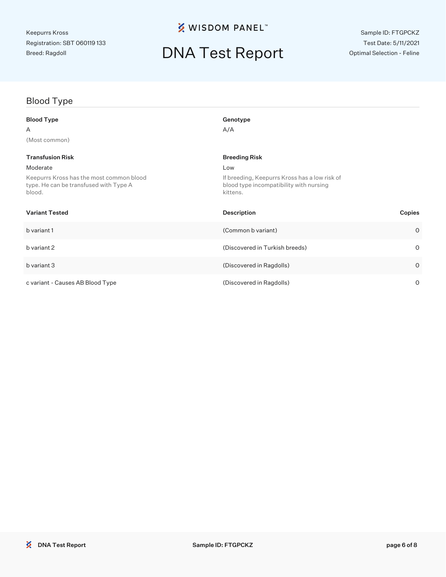### **※ WISDOM PANEL**™

# DNA Test Report

### Blood Type

| Blood Type                                                                                   | Genotype                                                                                             |         |
|----------------------------------------------------------------------------------------------|------------------------------------------------------------------------------------------------------|---------|
| A                                                                                            | A/A                                                                                                  |         |
| (Most common)                                                                                |                                                                                                      |         |
| <b>Transfusion Risk</b>                                                                      | <b>Breeding Risk</b>                                                                                 |         |
| Moderate                                                                                     | Low                                                                                                  |         |
| Keepurrs Kross has the most common blood<br>type. He can be transfused with Type A<br>blood. | If breeding, Keepurrs Kross has a low risk of<br>blood type incompatibility with nursing<br>kittens. |         |
| Variant Tested                                                                               | <b>Description</b>                                                                                   | Copies  |
| b variant 1                                                                                  | (Common b variant)                                                                                   | $\circ$ |
| b variant 2                                                                                  | (Discovered in Turkish breeds)                                                                       | $\circ$ |
| b variant 3                                                                                  | (Discovered in Ragdolls)                                                                             | $\circ$ |
| c variant - Causes AB Blood Type                                                             | (Discovered in Ragdolls)                                                                             | 0       |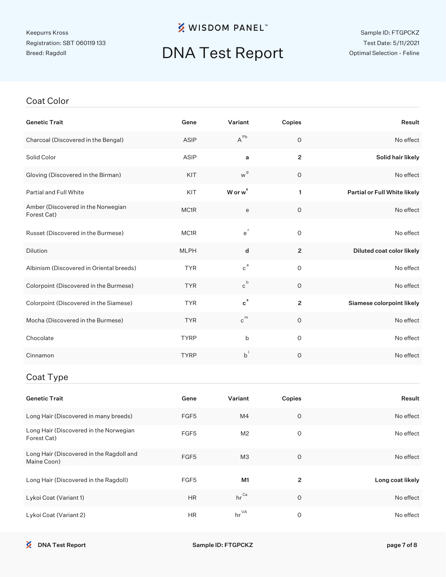### **※ WISDOM PANEL**™

# DNA Test Report

#### Coat Color

| <b>Genetic Trait</b>                                    | Gene        | Variant             | Copies         | Result                       |
|---------------------------------------------------------|-------------|---------------------|----------------|------------------------------|
| Charcoal (Discovered in the Bengal)                     | <b>ASIP</b> | $A^{Pb}$            | $\circ$        | No effect                    |
| Solid Color                                             | ASIP        | a                   | $\overline{2}$ | Solid hair likely            |
| Gloving (Discovered in the Birman)                      | KIT         | w <sup>g</sup>      | $\circ$        | No effect                    |
| Partial and Full White                                  | KIT         | W or w <sup>s</sup> | $\mathbf{1}$   | Partial or Full White likely |
| Amber (Discovered in the Norwegian<br>Forest Cat)       | MC1R        | e                   | 0              | No effect                    |
| Russet (Discovered in the Burmese)                      | MC1R        | $e^{r}$             | $\mathsf{O}$   | No effect                    |
| Dilution                                                | <b>MLPH</b> | d                   | $\overline{2}$ | Diluted coat color likely    |
| Albinism (Discovered in Oriental breeds)                | <b>TYR</b>  | $c^a$               | $\circ$        | No effect                    |
| Colorpoint (Discovered in the Burmese)                  | <b>TYR</b>  | $c^b$               | $\mathsf{O}$   | No effect                    |
| Colorpoint (Discovered in the Siamese)                  | <b>TYR</b>  | $c^s$               | $\overline{2}$ | Siamese colorpoint likely    |
| Mocha (Discovered in the Burmese)                       | <b>TYR</b>  | $c^{m}$             | $\circ$        | No effect                    |
| Chocolate                                               | <b>TYRP</b> | b                   | $\mathsf{O}$   | No effect                    |
| Cinnamon                                                | <b>TYRP</b> | $b^{\dagger}$       | $\circ$        | No effect                    |
| Coat Type                                               |             |                     |                |                              |
| <b>Genetic Trait</b>                                    | Gene        | Variant             | Copies         | Result                       |
| Long Hair (Discovered in many breeds)                   | FGF5        | M4                  | $\circ$        | No effect                    |
| Long Hair (Discovered in the Norwegian<br>Forest Cat)   | FGF5        | M <sub>2</sub>      | $\circ$        | No effect                    |
| Long Hair (Discovered in the Ragdoll and<br>Maine Coon) | FGF5        | MЗ                  | $\circ$        | No effect                    |
| Long Hair (Discovered in the Ragdoll)                   | FGF5        | M1                  | $\overline{2}$ | Long coat likely             |

Lykoi Coat (Variant 1) **HR** hr<sup>Ca</sup> 0 0 No effect

Lykoi Coat (Variant 2) **HR** hr <sup>VA</sup> 0 0 No effect